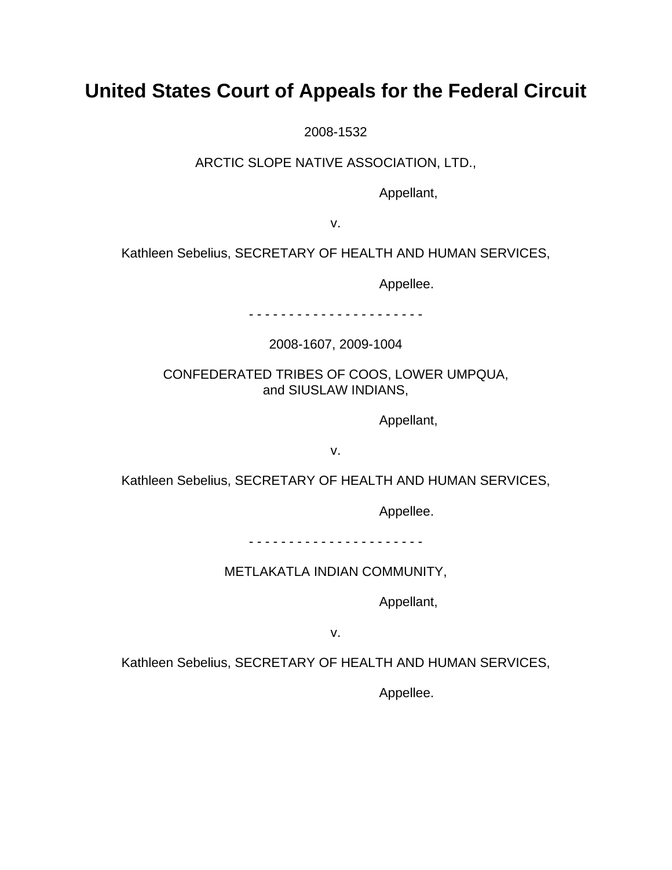# **United States Court of Appeals for the Federal Circuit**

2008-1532

ARCTIC SLOPE NATIVE ASSOCIATION, LTD.,

Appellant,

v.

Kathleen Sebelius, SECRETARY OF HEALTH AND HUMAN SERVICES,

Appellee.

- - - - - - - - - - - - - - - - - - - - - -

2008-1607, 2009-1004

CONFEDERATED TRIBES OF COOS, LOWER UMPQUA, and SIUSLAW INDIANS,

Appellant,

v.

Kathleen Sebelius, SECRETARY OF HEALTH AND HUMAN SERVICES,

Appellee.

- - - - - - - - - - - - - - - - - - - - - -

METLAKATLA INDIAN COMMUNITY,

Appellant,

v.

Kathleen Sebelius, SECRETARY OF HEALTH AND HUMAN SERVICES,

Appellee.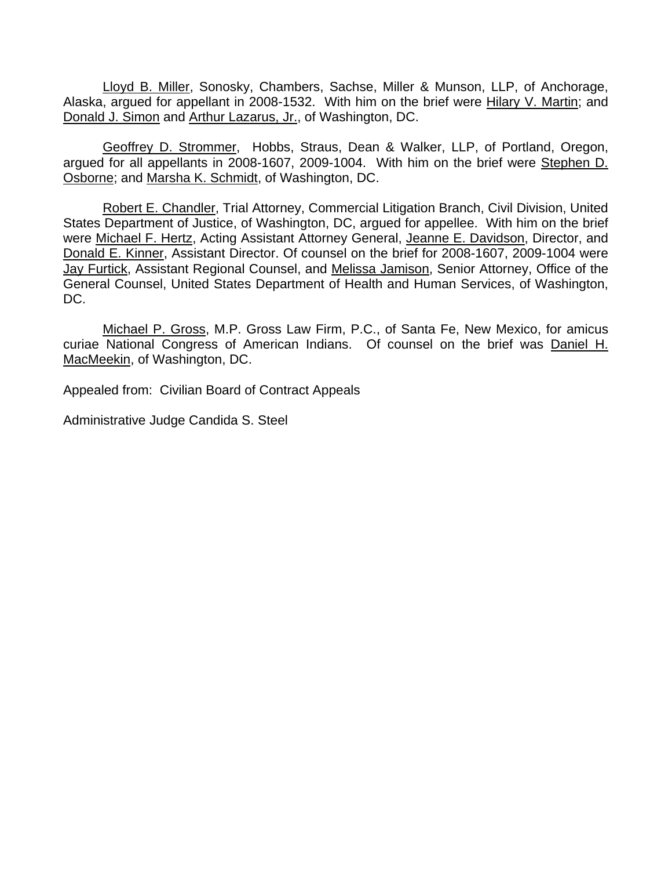Lloyd B. Miller, Sonosky, Chambers, Sachse, Miller & Munson, LLP, of Anchorage, Alaska, argued for appellant in 2008-1532. With him on the brief were Hilary V. Martin; and Donald J. Simon and Arthur Lazarus, Jr., of Washington, DC.

Geoffrey D. Strommer, Hobbs, Straus, Dean & Walker, LLP, of Portland, Oregon, argued for all appellants in 2008-1607, 2009-1004. With him on the brief were Stephen D. Osborne; and Marsha K. Schmidt, of Washington, DC.

Robert E. Chandler, Trial Attorney, Commercial Litigation Branch, Civil Division, United States Department of Justice, of Washington, DC, argued for appellee. With him on the brief were Michael F. Hertz, Acting Assistant Attorney General, Jeanne E. Davidson, Director, and Donald E. Kinner, Assistant Director. Of counsel on the brief for 2008-1607, 2009-1004 were Jay Furtick, Assistant Regional Counsel, and Melissa Jamison, Senior Attorney, Office of the General Counsel, United States Department of Health and Human Services, of Washington, DC.

Michael P. Gross, M.P. Gross Law Firm, P.C., of Santa Fe, New Mexico, for amicus curiae National Congress of American Indians. Of counsel on the brief was Daniel H. MacMeekin, of Washington, DC.

Appealed from: Civilian Board of Contract Appeals

Administrative Judge Candida S. Steel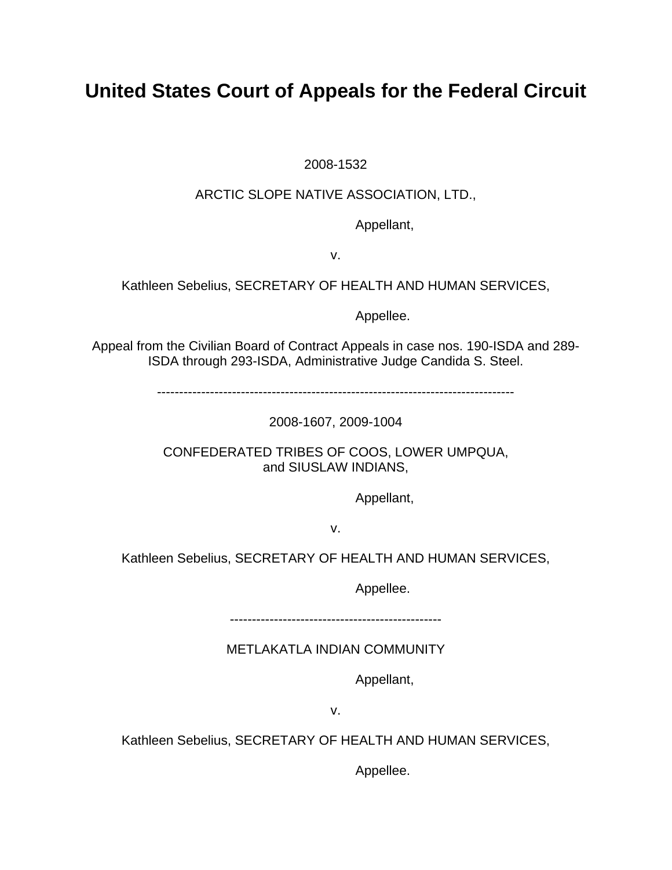# **United States Court of Appeals for the Federal Circuit**

2008-1532

## ARCTIC SLOPE NATIVE ASSOCIATION, LTD.,

Appellant,

v.

Kathleen Sebelius, SECRETARY OF HEALTH AND HUMAN SERVICES,

Appellee.

Appeal from the Civilian Board of Contract Appeals in case nos. 190-ISDA and 289- ISDA through 293-ISDA, Administrative Judge Candida S. Steel.

---------------------------------------------------------------------------------

2008-1607, 2009-1004

CONFEDERATED TRIBES OF COOS, LOWER UMPQUA, and SIUSLAW INDIANS,

Appellant,

v.

Kathleen Sebelius, SECRETARY OF HEALTH AND HUMAN SERVICES,

Appellee.

------------------------------------------------

METLAKATLA INDIAN COMMUNITY

Appellant,

v.

Kathleen Sebelius, SECRETARY OF HEALTH AND HUMAN SERVICES,

Appellee.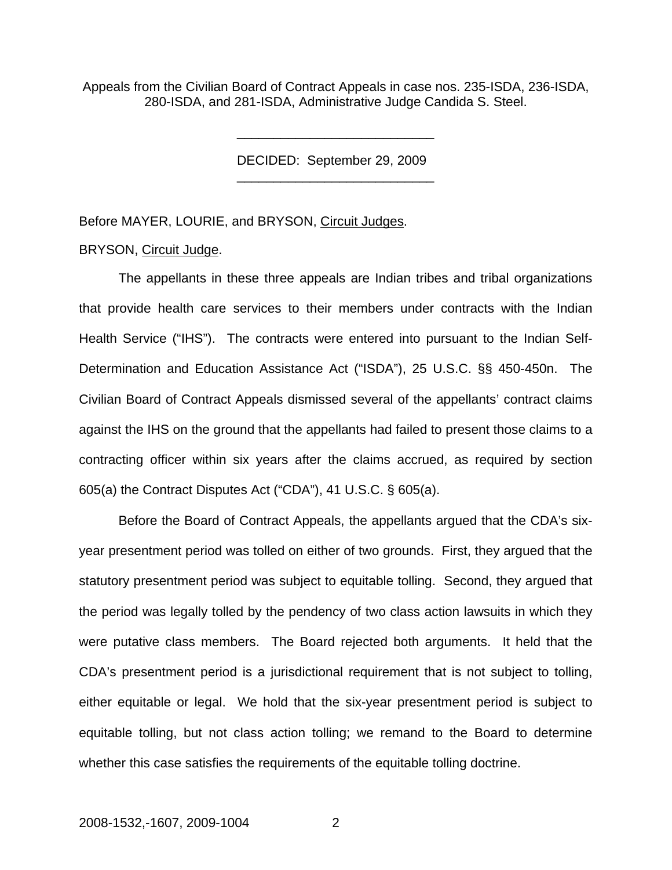Appeals from the Civilian Board of Contract Appeals in case nos. 235-ISDA, 236-ISDA, 280-ISDA, and 281-ISDA, Administrative Judge Candida S. Steel.

\_\_\_\_\_\_\_\_\_\_\_\_\_\_\_\_\_\_\_\_\_\_\_\_\_\_\_

DECIDED: September 29, 2009 \_\_\_\_\_\_\_\_\_\_\_\_\_\_\_\_\_\_\_\_\_\_\_\_\_\_\_

Before MAYER, LOURIE, and BRYSON, Circuit Judges.

#### BRYSON, Circuit Judge.

 The appellants in these three appeals are Indian tribes and tribal organizations that provide health care services to their members under contracts with the Indian Health Service ("IHS"). The contracts were entered into pursuant to the Indian Self-Determination and Education Assistance Act ("ISDA"), 25 U.S.C. §§ 450-450n. The Civilian Board of Contract Appeals dismissed several of the appellants' contract claims against the IHS on the ground that the appellants had failed to present those claims to a contracting officer within six years after the claims accrued, as required by section 605(a) the Contract Disputes Act ("CDA"), 41 U.S.C. § 605(a).

Before the Board of Contract Appeals, the appellants argued that the CDA's sixyear presentment period was tolled on either of two grounds. First, they argued that the statutory presentment period was subject to equitable tolling. Second, they argued that the period was legally tolled by the pendency of two class action lawsuits in which they were putative class members. The Board rejected both arguments. It held that the CDA's presentment period is a jurisdictional requirement that is not subject to tolling, either equitable or legal. We hold that the six-year presentment period is subject to equitable tolling, but not class action tolling; we remand to the Board to determine whether this case satisfies the requirements of the equitable tolling doctrine.

### 2008-1532,-1607, 2009-1004 2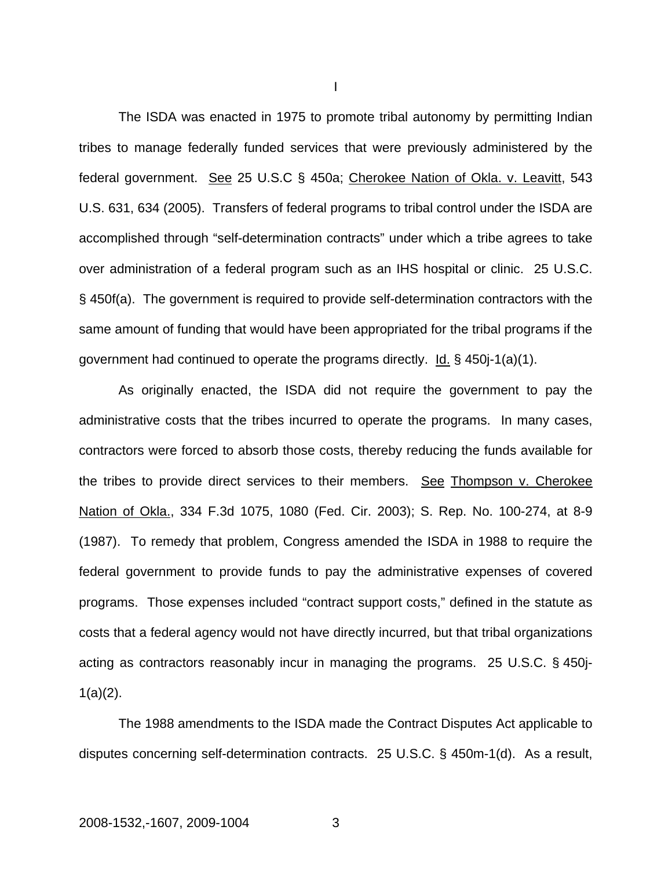The ISDA was enacted in 1975 to promote tribal autonomy by permitting Indian tribes to manage federally funded services that were previously administered by the federal government. See 25 U.S.C § 450a; Cherokee Nation of Okla. v. Leavitt, 543 U.S. 631, 634 (2005). Transfers of federal programs to tribal control under the ISDA are accomplished through "self-determination contracts" under which a tribe agrees to take over administration of a federal program such as an IHS hospital or clinic. 25 U.S.C. § 450f(a). The government is required to provide self-determination contractors with the same amount of funding that would have been appropriated for the tribal programs if the government had continued to operate the programs directly.  $\underline{Id.}$  § 450 $i$ -1(a)(1).

As originally enacted, the ISDA did not require the government to pay the administrative costs that the tribes incurred to operate the programs. In many cases, contractors were forced to absorb those costs, thereby reducing the funds available for the tribes to provide direct services to their members. See Thompson v. Cherokee Nation of Okla., 334 F.3d 1075, 1080 (Fed. Cir. 2003); S. Rep. No. 100-274, at 8-9 (1987). To remedy that problem, Congress amended the ISDA in 1988 to require the federal government to provide funds to pay the administrative expenses of covered programs. Those expenses included "contract support costs," defined in the statute as costs that a federal agency would not have directly incurred, but that tribal organizations acting as contractors reasonably incur in managing the programs. 25 U.S.C. § 450j- $1(a)(2)$ .

The 1988 amendments to the ISDA made the Contract Disputes Act applicable to disputes concerning self-determination contracts. 25 U.S.C. § 450m-1(d). As a result,

I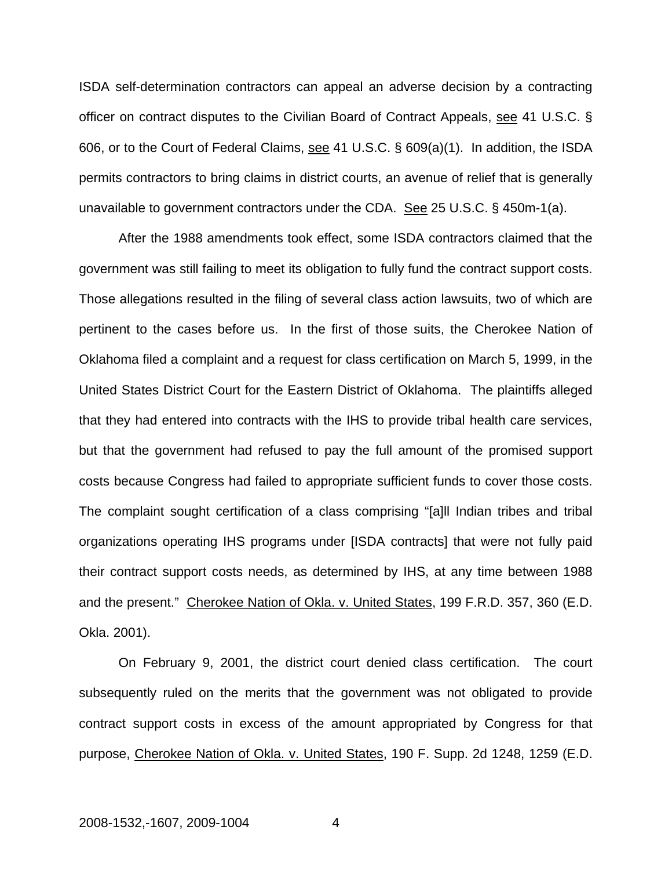ISDA self-determination contractors can appeal an adverse decision by a contracting officer on contract disputes to the Civilian Board of Contract Appeals, see 41 U.S.C. § 606, or to the Court of Federal Claims, see 41 U.S.C. § 609(a)(1). In addition, the ISDA permits contractors to bring claims in district courts, an avenue of relief that is generally unavailable to government contractors under the CDA. See 25 U.S.C. § 450m-1(a).

After the 1988 amendments took effect, some ISDA contractors claimed that the government was still failing to meet its obligation to fully fund the contract support costs. Those allegations resulted in the filing of several class action lawsuits, two of which are pertinent to the cases before us. In the first of those suits, the Cherokee Nation of Oklahoma filed a complaint and a request for class certification on March 5, 1999, in the United States District Court for the Eastern District of Oklahoma. The plaintiffs alleged that they had entered into contracts with the IHS to provide tribal health care services, but that the government had refused to pay the full amount of the promised support costs because Congress had failed to appropriate sufficient funds to cover those costs. The complaint sought certification of a class comprising "[a]ll Indian tribes and tribal organizations operating IHS programs under [ISDA contracts] that were not fully paid their contract support costs needs, as determined by IHS, at any time between 1988 and the present." Cherokee Nation of Okla. v. United States, 199 F.R.D. 357, 360 (E.D. Okla. 2001).

On February 9, 2001, the district court denied class certification. The court subsequently ruled on the merits that the government was not obligated to provide contract support costs in excess of the amount appropriated by Congress for that purpose, Cherokee Nation of Okla. v. United States, 190 F. Supp. 2d 1248, 1259 (E.D.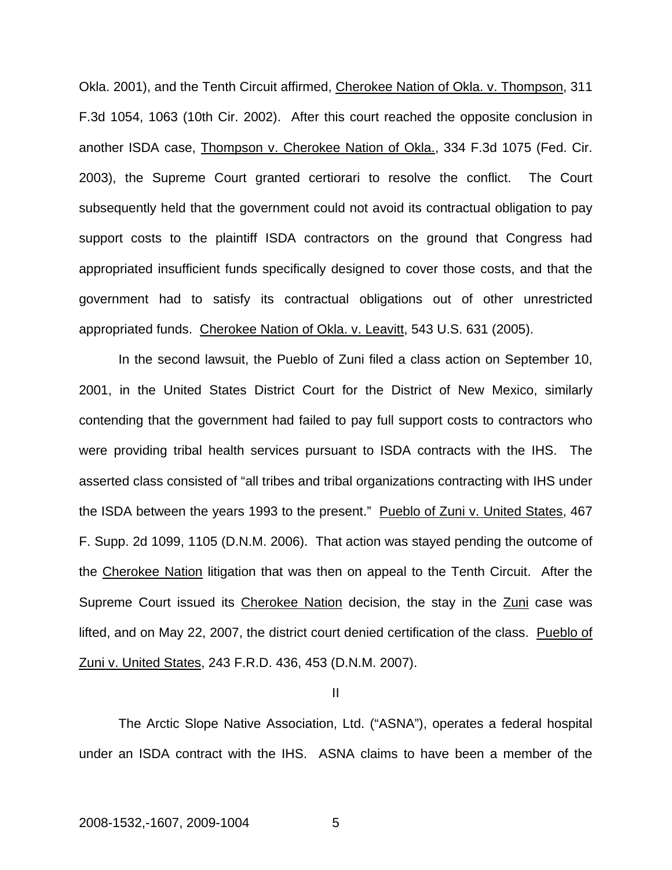Okla. 2001), and the Tenth Circuit affirmed, Cherokee Nation of Okla. v. Thompson, 311 F.3d 1054, 1063 (10th Cir. 2002). After this court reached the opposite conclusion in another ISDA case, Thompson v. Cherokee Nation of Okla., 334 F.3d 1075 (Fed. Cir. 2003), the Supreme Court granted certiorari to resolve the conflict. The Court subsequently held that the government could not avoid its contractual obligation to pay support costs to the plaintiff ISDA contractors on the ground that Congress had appropriated insufficient funds specifically designed to cover those costs, and that the government had to satisfy its contractual obligations out of other unrestricted appropriated funds. Cherokee Nation of Okla. v. Leavitt, 543 U.S. 631 (2005).

In the second lawsuit, the Pueblo of Zuni filed a class action on September 10, 2001, in the United States District Court for the District of New Mexico, similarly contending that the government had failed to pay full support costs to contractors who were providing tribal health services pursuant to ISDA contracts with the IHS. The asserted class consisted of "all tribes and tribal organizations contracting with IHS under the ISDA between the years 1993 to the present." Pueblo of Zuni v. United States, 467 F. Supp. 2d 1099, 1105 (D.N.M. 2006). That action was stayed pending the outcome of the Cherokee Nation litigation that was then on appeal to the Tenth Circuit. After the Supreme Court issued its Cherokee Nation decision, the stay in the Zuni case was lifted, and on May 22, 2007, the district court denied certification of the class. Pueblo of Zuni v. United States, 243 F.R.D. 436, 453 (D.N.M. 2007).

II

The Arctic Slope Native Association, Ltd. ("ASNA"), operates a federal hospital under an ISDA contract with the IHS. ASNA claims to have been a member of the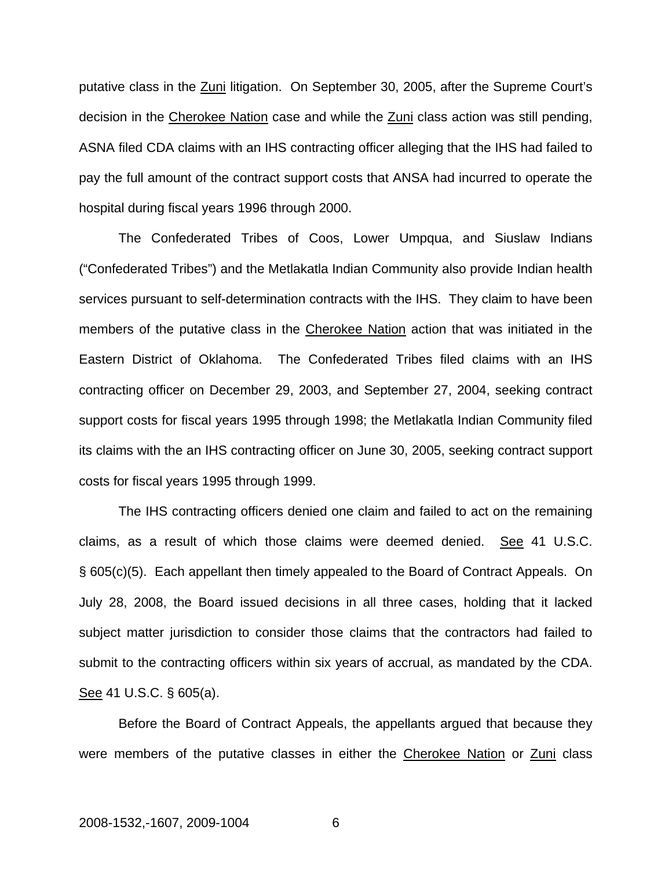putative class in the Zuni litigation. On September 30, 2005, after the Supreme Court's decision in the Cherokee Nation case and while the Zuni class action was still pending, ASNA filed CDA claims with an IHS contracting officer alleging that the IHS had failed to pay the full amount of the contract support costs that ANSA had incurred to operate the hospital during fiscal years 1996 through 2000.

The Confederated Tribes of Coos, Lower Umpqua, and Siuslaw Indians ("Confederated Tribes") and the Metlakatla Indian Community also provide Indian health services pursuant to self-determination contracts with the IHS. They claim to have been members of the putative class in the Cherokee Nation action that was initiated in the Eastern District of Oklahoma. The Confederated Tribes filed claims with an IHS contracting officer on December 29, 2003, and September 27, 2004, seeking contract support costs for fiscal years 1995 through 1998; the Metlakatla Indian Community filed its claims with the an IHS contracting officer on June 30, 2005, seeking contract support costs for fiscal years 1995 through 1999.

The IHS contracting officers denied one claim and failed to act on the remaining claims, as a result of which those claims were deemed denied. See 41 U.S.C. § 605(c)(5). Each appellant then timely appealed to the Board of Contract Appeals. On July 28, 2008, the Board issued decisions in all three cases, holding that it lacked subject matter jurisdiction to consider those claims that the contractors had failed to submit to the contracting officers within six years of accrual, as mandated by the CDA. See 41 U.S.C. § 605(a).

Before the Board of Contract Appeals, the appellants argued that because they were members of the putative classes in either the Cherokee Nation or Zuni class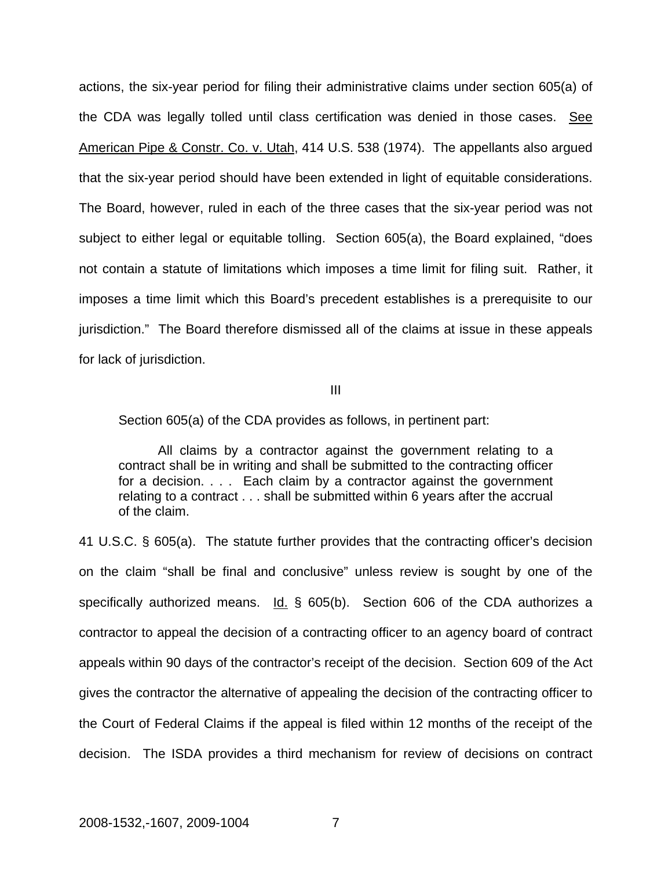actions, the six-year period for filing their administrative claims under section 605(a) of the CDA was legally tolled until class certification was denied in those cases. See American Pipe & Constr. Co. v. Utah, 414 U.S. 538 (1974). The appellants also argued that the six-year period should have been extended in light of equitable considerations. The Board, however, ruled in each of the three cases that the six-year period was not subject to either legal or equitable tolling. Section 605(a), the Board explained, "does not contain a statute of limitations which imposes a time limit for filing suit. Rather, it imposes a time limit which this Board's precedent establishes is a prerequisite to our jurisdiction." The Board therefore dismissed all of the claims at issue in these appeals for lack of jurisdiction.

III

Section 605(a) of the CDA provides as follows, in pertinent part:

 All claims by a contractor against the government relating to a contract shall be in writing and shall be submitted to the contracting officer for a decision. . . . Each claim by a contractor against the government relating to a contract . . . shall be submitted within 6 years after the accrual of the claim.

41 U.S.C. § 605(a). The statute further provides that the contracting officer's decision on the claim "shall be final and conclusive" unless review is sought by one of the specifically authorized means.  $Id. \S$  605(b). Section 606 of the CDA authorizes a contractor to appeal the decision of a contracting officer to an agency board of contract appeals within 90 days of the contractor's receipt of the decision. Section 609 of the Act gives the contractor the alternative of appealing the decision of the contracting officer to the Court of Federal Claims if the appeal is filed within 12 months of the receipt of the decision. The ISDA provides a third mechanism for review of decisions on contract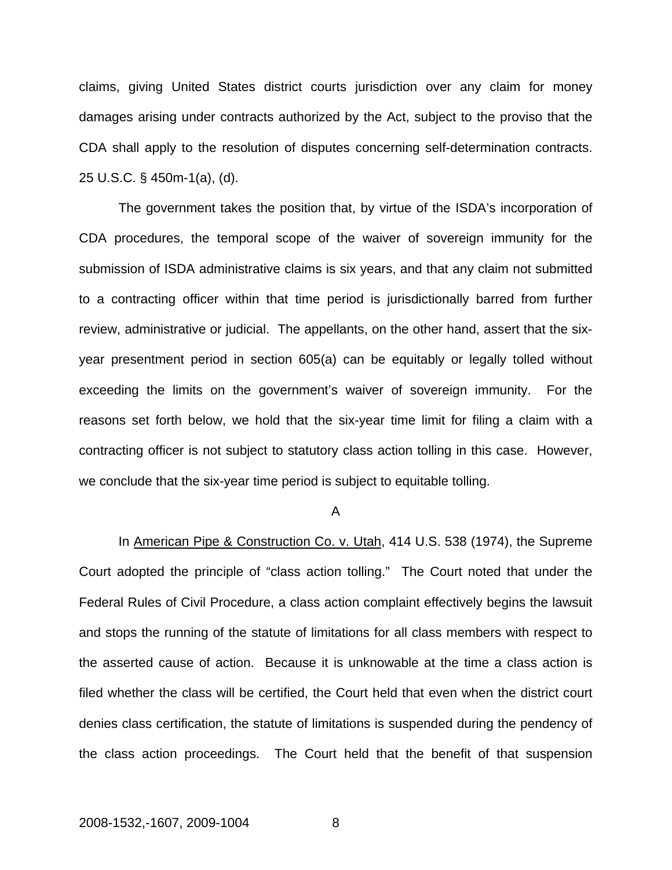claims, giving United States district courts jurisdiction over any claim for money damages arising under contracts authorized by the Act, subject to the proviso that the CDA shall apply to the resolution of disputes concerning self-determination contracts. 25 U.S.C. § 450m-1(a), (d).

 The government takes the position that, by virtue of the ISDA's incorporation of CDA procedures, the temporal scope of the waiver of sovereign immunity for the submission of ISDA administrative claims is six years, and that any claim not submitted to a contracting officer within that time period is jurisdictionally barred from further review, administrative or judicial. The appellants, on the other hand, assert that the sixyear presentment period in section 605(a) can be equitably or legally tolled without exceeding the limits on the government's waiver of sovereign immunity. For the reasons set forth below, we hold that the six-year time limit for filing a claim with a contracting officer is not subject to statutory class action tolling in this case. However, we conclude that the six-year time period is subject to equitable tolling.

#### A

In American Pipe & Construction Co. v. Utah, 414 U.S. 538 (1974), the Supreme Court adopted the principle of "class action tolling." The Court noted that under the Federal Rules of Civil Procedure, a class action complaint effectively begins the lawsuit and stops the running of the statute of limitations for all class members with respect to the asserted cause of action. Because it is unknowable at the time a class action is filed whether the class will be certified, the Court held that even when the district court denies class certification, the statute of limitations is suspended during the pendency of the class action proceedings. The Court held that the benefit of that suspension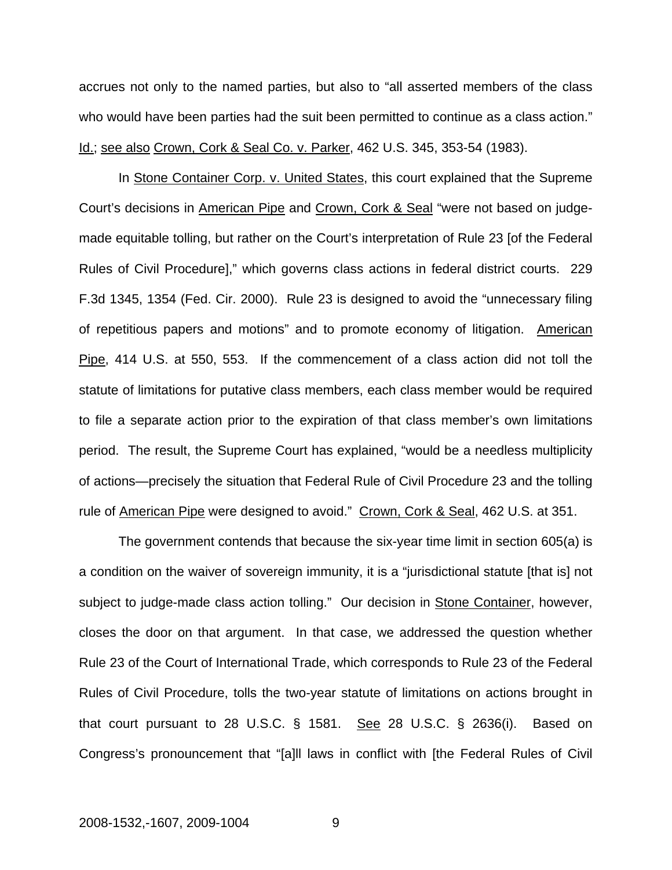accrues not only to the named parties, but also to "all asserted members of the class who would have been parties had the suit been permitted to continue as a class action." Id.; see also Crown, Cork & Seal Co. v. Parker, 462 U.S. 345, 353-54 (1983).

In Stone Container Corp. v. United States, this court explained that the Supreme Court's decisions in American Pipe and Crown, Cork & Seal "were not based on judgemade equitable tolling, but rather on the Court's interpretation of Rule 23 [of the Federal Rules of Civil Procedure]," which governs class actions in federal district courts. 229 F.3d 1345, 1354 (Fed. Cir. 2000). Rule 23 is designed to avoid the "unnecessary filing of repetitious papers and motions" and to promote economy of litigation. American Pipe, 414 U.S. at 550, 553. If the commencement of a class action did not toll the statute of limitations for putative class members, each class member would be required to file a separate action prior to the expiration of that class member's own limitations period. The result, the Supreme Court has explained, "would be a needless multiplicity of actions—precisely the situation that Federal Rule of Civil Procedure 23 and the tolling rule of American Pipe were designed to avoid." Crown, Cork & Seal, 462 U.S. at 351.

The government contends that because the six-year time limit in section 605(a) is a condition on the waiver of sovereign immunity, it is a "jurisdictional statute [that is] not subject to judge-made class action tolling." Our decision in Stone Container, however, closes the door on that argument. In that case, we addressed the question whether Rule 23 of the Court of International Trade, which corresponds to Rule 23 of the Federal Rules of Civil Procedure, tolls the two-year statute of limitations on actions brought in that court pursuant to 28 U.S.C.  $\S$  1581. See 28 U.S.C.  $\S$  2636(i). Based on Congress's pronouncement that "[a]ll laws in conflict with [the Federal Rules of Civil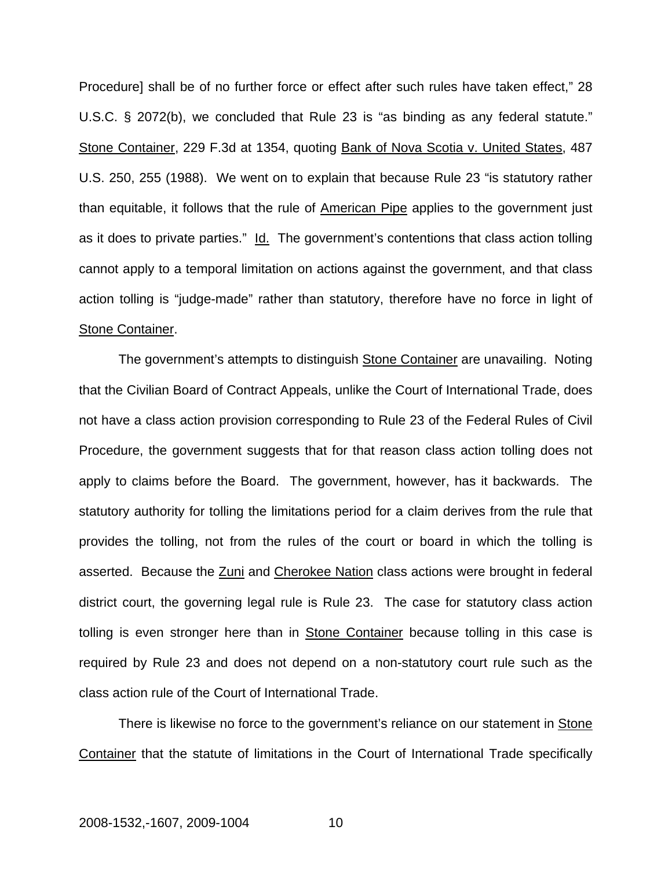Procedure] shall be of no further force or effect after such rules have taken effect," 28 U.S.C. § 2072(b), we concluded that Rule 23 is "as binding as any federal statute." Stone Container, 229 F.3d at 1354, quoting Bank of Nova Scotia v. United States, 487 U.S. 250, 255 (1988). We went on to explain that because Rule 23 "is statutory rather than equitable, it follows that the rule of American Pipe applies to the government just as it does to private parties." Id. The government's contentions that class action tolling cannot apply to a temporal limitation on actions against the government, and that class action tolling is "judge-made" rather than statutory, therefore have no force in light of Stone Container.

The government's attempts to distinguish Stone Container are unavailing. Noting that the Civilian Board of Contract Appeals, unlike the Court of International Trade, does not have a class action provision corresponding to Rule 23 of the Federal Rules of Civil Procedure, the government suggests that for that reason class action tolling does not apply to claims before the Board. The government, however, has it backwards. The statutory authority for tolling the limitations period for a claim derives from the rule that provides the tolling, not from the rules of the court or board in which the tolling is asserted. Because the Zuni and Cherokee Nation class actions were brought in federal district court, the governing legal rule is Rule 23. The case for statutory class action tolling is even stronger here than in Stone Container because tolling in this case is required by Rule 23 and does not depend on a non-statutory court rule such as the class action rule of the Court of International Trade.

There is likewise no force to the government's reliance on our statement in Stone Container that the statute of limitations in the Court of International Trade specifically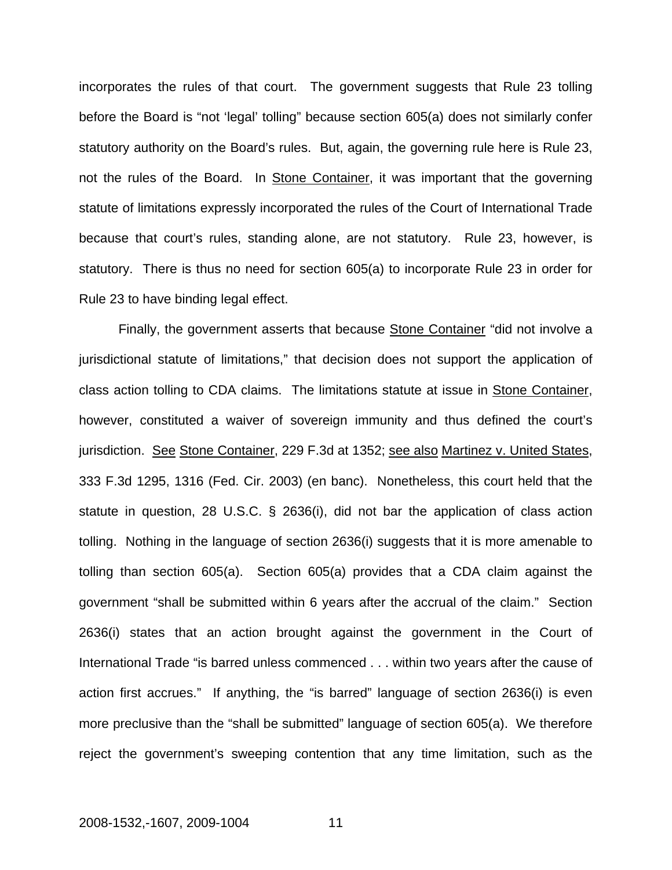incorporates the rules of that court. The government suggests that Rule 23 tolling before the Board is "not 'legal' tolling" because section 605(a) does not similarly confer statutory authority on the Board's rules. But, again, the governing rule here is Rule 23, not the rules of the Board. In Stone Container, it was important that the governing statute of limitations expressly incorporated the rules of the Court of International Trade because that court's rules, standing alone, are not statutory. Rule 23, however, is statutory. There is thus no need for section 605(a) to incorporate Rule 23 in order for Rule 23 to have binding legal effect.

Finally, the government asserts that because Stone Container "did not involve a jurisdictional statute of limitations," that decision does not support the application of class action tolling to CDA claims. The limitations statute at issue in Stone Container, however, constituted a waiver of sovereign immunity and thus defined the court's jurisdiction. See Stone Container, 229 F.3d at 1352; see also Martinez v. United States, 333 F.3d 1295, 1316 (Fed. Cir. 2003) (en banc). Nonetheless, this court held that the statute in question, 28 U.S.C. § 2636(i), did not bar the application of class action tolling. Nothing in the language of section 2636(i) suggests that it is more amenable to tolling than section 605(a). Section 605(a) provides that a CDA claim against the government "shall be submitted within 6 years after the accrual of the claim." Section 2636(i) states that an action brought against the government in the Court of International Trade "is barred unless commenced . . . within two years after the cause of action first accrues." If anything, the "is barred" language of section 2636(i) is even more preclusive than the "shall be submitted" language of section 605(a). We therefore reject the government's sweeping contention that any time limitation, such as the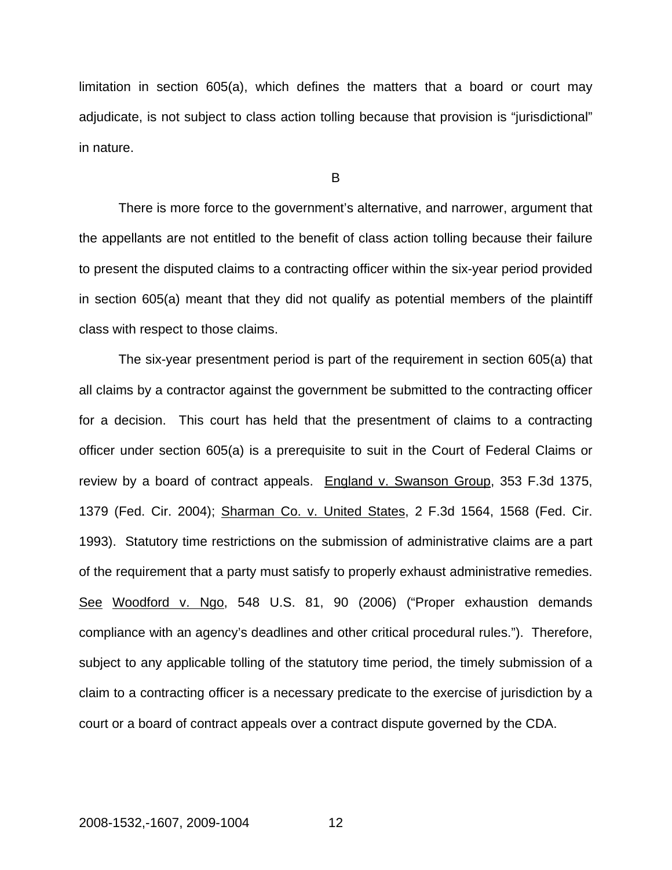limitation in section 605(a), which defines the matters that a board or court may adjudicate, is not subject to class action tolling because that provision is "jurisdictional" in nature.

B

There is more force to the government's alternative, and narrower, argument that the appellants are not entitled to the benefit of class action tolling because their failure to present the disputed claims to a contracting officer within the six-year period provided in section 605(a) meant that they did not qualify as potential members of the plaintiff class with respect to those claims.

The six-year presentment period is part of the requirement in section 605(a) that all claims by a contractor against the government be submitted to the contracting officer for a decision. This court has held that the presentment of claims to a contracting officer under section 605(a) is a prerequisite to suit in the Court of Federal Claims or review by a board of contract appeals. England v. Swanson Group, 353 F.3d 1375, 1379 (Fed. Cir. 2004); Sharman Co. v. United States, 2 F.3d 1564, 1568 (Fed. Cir. 1993). Statutory time restrictions on the submission of administrative claims are a part of the requirement that a party must satisfy to properly exhaust administrative remedies. See Woodford v. Ngo, 548 U.S. 81, 90 (2006) ("Proper exhaustion demands compliance with an agency's deadlines and other critical procedural rules."). Therefore, subject to any applicable tolling of the statutory time period, the timely submission of a claim to a contracting officer is a necessary predicate to the exercise of jurisdiction by a court or a board of contract appeals over a contract dispute governed by the CDA.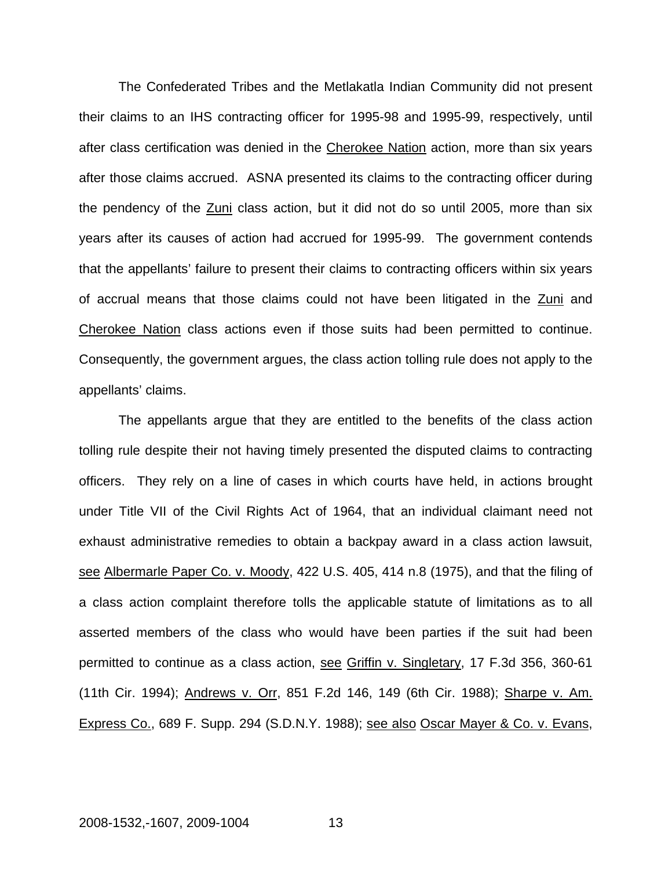The Confederated Tribes and the Metlakatla Indian Community did not present their claims to an IHS contracting officer for 1995-98 and 1995-99, respectively, until after class certification was denied in the Cherokee Nation action, more than six years after those claims accrued. ASNA presented its claims to the contracting officer during the pendency of the Zuni class action, but it did not do so until 2005, more than six years after its causes of action had accrued for 1995-99. The government contends that the appellants' failure to present their claims to contracting officers within six years of accrual means that those claims could not have been litigated in the Zuni and Cherokee Nation class actions even if those suits had been permitted to continue. Consequently, the government argues, the class action tolling rule does not apply to the appellants' claims.

The appellants argue that they are entitled to the benefits of the class action tolling rule despite their not having timely presented the disputed claims to contracting officers. They rely on a line of cases in which courts have held, in actions brought under Title VII of the Civil Rights Act of 1964, that an individual claimant need not exhaust administrative remedies to obtain a backpay award in a class action lawsuit, see Albermarle Paper Co. v. Moody, 422 U.S. 405, 414 n.8 (1975), and that the filing of a class action complaint therefore tolls the applicable statute of limitations as to all asserted members of the class who would have been parties if the suit had been permitted to continue as a class action, see Griffin v. Singletary, 17 F.3d 356, 360-61 (11th Cir. 1994); Andrews v. Orr, 851 F.2d 146, 149 (6th Cir. 1988); Sharpe v. Am. Express Co., 689 F. Supp. 294 (S.D.N.Y. 1988); see also Oscar Mayer & Co. v. Evans,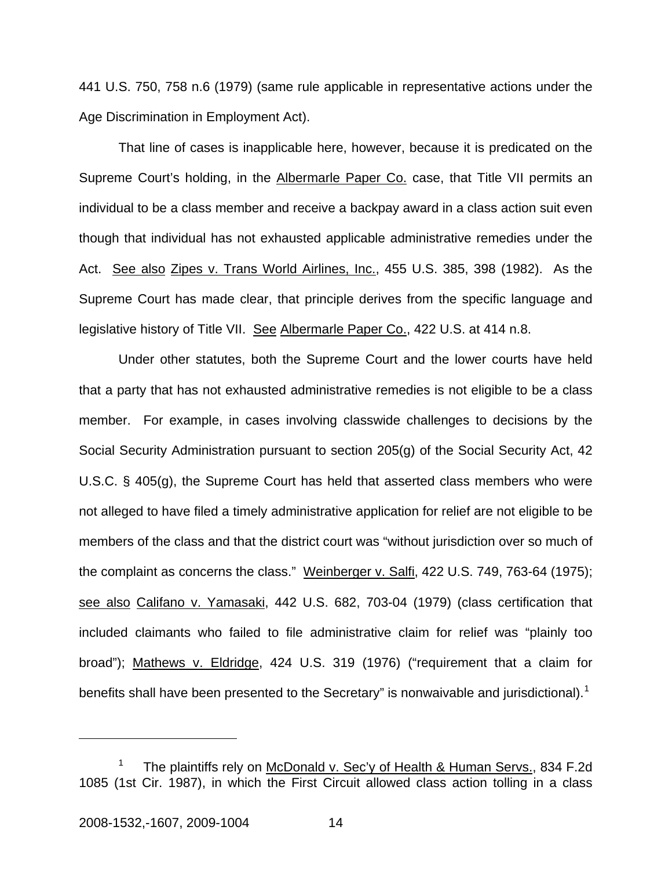441 U.S. 750, 758 n.6 (1979) (same rule applicable in representative actions under the Age Discrimination in Employment Act).

That line of cases is inapplicable here, however, because it is predicated on the Supreme Court's holding, in the Albermarle Paper Co. case, that Title VII permits an individual to be a class member and receive a backpay award in a class action suit even though that individual has not exhausted applicable administrative remedies under the Act. See also Zipes v. Trans World Airlines, Inc., 455 U.S. 385, 398 (1982). As the Supreme Court has made clear, that principle derives from the specific language and legislative history of Title VII. See Albermarle Paper Co., 422 U.S. at 414 n.8.

Under other statutes, both the Supreme Court and the lower courts have held that a party that has not exhausted administrative remedies is not eligible to be a class member. For example, in cases involving classwide challenges to decisions by the Social Security Administration pursuant to section 205(g) of the Social Security Act, 42 U.S.C. § 405(g), the Supreme Court has held that asserted class members who were not alleged to have filed a timely administrative application for relief are not eligible to be members of the class and that the district court was "without jurisdiction over so much of the complaint as concerns the class." Weinberger v. Salfi, 422 U.S. 749, 763-64 (1975); see also Califano v. Yamasaki, 442 U.S. 682, 703-04 (1979) (class certification that included claimants who failed to file administrative claim for relief was "plainly too broad"); Mathews v. Eldridge, 424 U.S. 319 (1976) ("requirement that a claim for benefits shall have been presented to the Secretary" is nonwaivable and jurisdictional).<sup>[1](#page-15-0)</sup>

<span id="page-15-0"></span><sup>1</sup> The plaintiffs rely on McDonald v. Sec'y of Health & Human Servs., 834 F.2d 1085 (1st Cir. 1987), in which the First Circuit allowed class action tolling in a class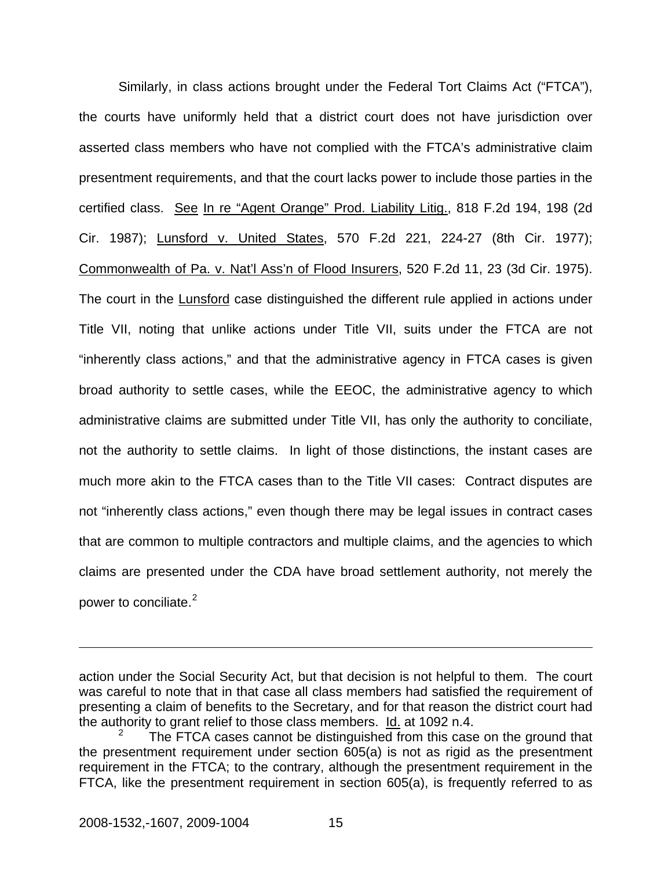Similarly, in class actions brought under the Federal Tort Claims Act ("FTCA"), the courts have uniformly held that a district court does not have jurisdiction over asserted class members who have not complied with the FTCA's administrative claim presentment requirements, and that the court lacks power to include those parties in the certified class. See In re "Agent Orange" Prod. Liability Litig., 818 F.2d 194, 198 (2d Cir. 1987); Lunsford v. United States, 570 F.2d 221, 224-27 (8th Cir. 1977); Commonwealth of Pa. v. Nat'l Ass'n of Flood Insurers, 520 F.2d 11, 23 (3d Cir. 1975). The court in the Lunsford case distinguished the different rule applied in actions under Title VII, noting that unlike actions under Title VII, suits under the FTCA are not "inherently class actions," and that the administrative agency in FTCA cases is given broad authority to settle cases, while the EEOC, the administrative agency to which administrative claims are submitted under Title VII, has only the authority to conciliate, not the authority to settle claims. In light of those distinctions, the instant cases are much more akin to the FTCA cases than to the Title VII cases: Contract disputes are not "inherently class actions," even though there may be legal issues in contract cases that are common to multiple contractors and multiple claims, and the agencies to which claims are presented under the CDA have broad settlement authority, not merely the power to conciliate.<sup>[2](#page-16-0)</sup>

action under the Social Security Act, but that decision is not helpful to them. The court was careful to note that in that case all class members had satisfied the requirement of presenting a claim of benefits to the Secretary, and for that reason the district court had the authority to grant relief to those class members. Id. at 1092 n.4.

<span id="page-16-0"></span><sup>2</sup> The FTCA cases cannot be distinguished from this case on the ground that the presentment requirement under section 605(a) is not as rigid as the presentment requirement in the FTCA; to the contrary, although the presentment requirement in the FTCA, like the presentment requirement in section 605(a), is frequently referred to as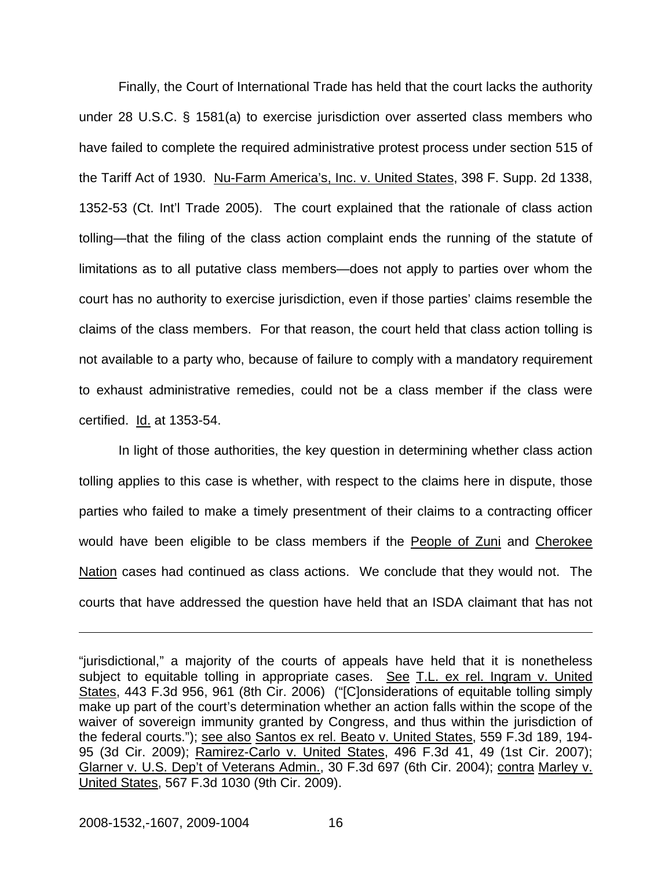Finally, the Court of International Trade has held that the court lacks the authority under 28 U.S.C. § 1581(a) to exercise jurisdiction over asserted class members who have failed to complete the required administrative protest process under section 515 of the Tariff Act of 1930. Nu-Farm America's, Inc. v. United States, 398 F. Supp. 2d 1338, 1352-53 (Ct. Int'l Trade 2005). The court explained that the rationale of class action tolling—that the filing of the class action complaint ends the running of the statute of limitations as to all putative class members—does not apply to parties over whom the court has no authority to exercise jurisdiction, even if those parties' claims resemble the claims of the class members. For that reason, the court held that class action tolling is not available to a party who, because of failure to comply with a mandatory requirement to exhaust administrative remedies, could not be a class member if the class were certified. Id. at 1353-54.

In light of those authorities, the key question in determining whether class action tolling applies to this case is whether, with respect to the claims here in dispute, those parties who failed to make a timely presentment of their claims to a contracting officer would have been eligible to be class members if the People of Zuni and Cherokee Nation cases had continued as class actions. We conclude that they would not. The courts that have addressed the question have held that an ISDA claimant that has not

<sup>&</sup>quot;jurisdictional," a majority of the courts of appeals have held that it is nonetheless subject to equitable tolling in appropriate cases. See T.L. ex rel. Ingram v. United States, 443 F.3d 956, 961 (8th Cir. 2006) ("[C]onsiderations of equitable tolling simply make up part of the court's determination whether an action falls within the scope of the waiver of sovereign immunity granted by Congress, and thus within the jurisdiction of the federal courts."); see also Santos ex rel. Beato v. United States, 559 F.3d 189, 194- 95 (3d Cir. 2009); Ramirez-Carlo v. United States, 496 F.3d 41, 49 (1st Cir. 2007); Glarner v. U.S. Dep't of Veterans Admin., 30 F.3d 697 (6th Cir. 2004); contra Marley v. United States, 567 F.3d 1030 (9th Cir. 2009).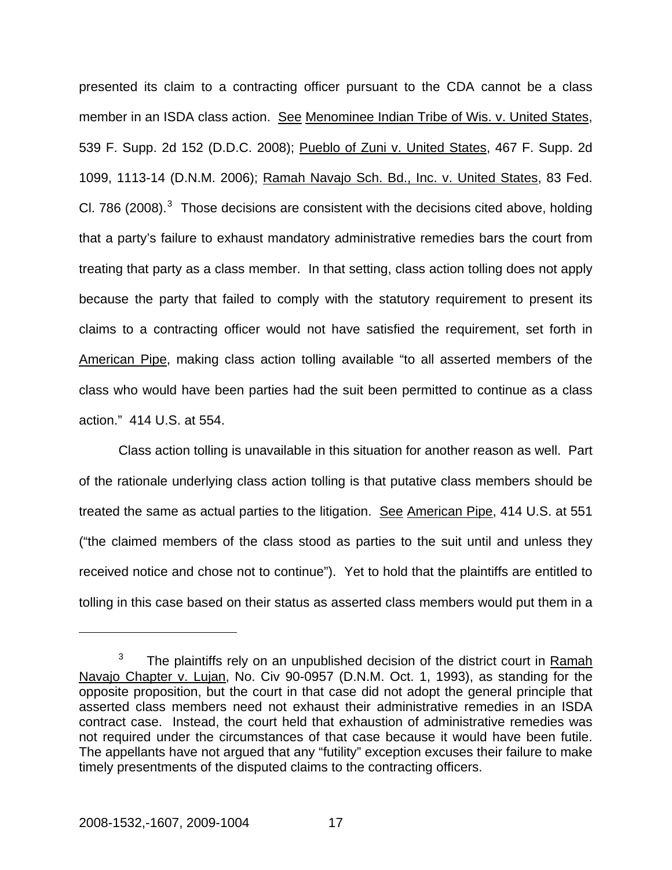presented its claim to a contracting officer pursuant to the CDA cannot be a class member in an ISDA class action. See Menominee Indian Tribe of Wis. v. United States, 539 F. Supp. 2d 152 (D.D.C. 2008); Pueblo of Zuni v. United States, 467 F. Supp. 2d 1099, 1113-14 (D.N.M. 2006); Ramah Navajo Sch. Bd., Inc. v. United States, 83 Fed. CI. 786 (2008). $3$  Those decisions are consistent with the decisions cited above, holding that a party's failure to exhaust mandatory administrative remedies bars the court from treating that party as a class member. In that setting, class action tolling does not apply because the party that failed to comply with the statutory requirement to present its claims to a contracting officer would not have satisfied the requirement, set forth in American Pipe, making class action tolling available "to all asserted members of the class who would have been parties had the suit been permitted to continue as a class action." 414 U.S. at 554.

Class action tolling is unavailable in this situation for another reason as well. Part of the rationale underlying class action tolling is that putative class members should be treated the same as actual parties to the litigation. See American Pipe, 414 U.S. at 551 ("the claimed members of the class stood as parties to the suit until and unless they received notice and chose not to continue"). Yet to hold that the plaintiffs are entitled to tolling in this case based on their status as asserted class members would put them in a

<span id="page-18-0"></span><sup>3</sup> The plaintiffs rely on an unpublished decision of the district court in Ramah Navajo Chapter v. Lujan, No. Civ 90-0957 (D.N.M. Oct. 1, 1993), as standing for the opposite proposition, but the court in that case did not adopt the general principle that asserted class members need not exhaust their administrative remedies in an ISDA contract case. Instead, the court held that exhaustion of administrative remedies was not required under the circumstances of that case because it would have been futile. The appellants have not argued that any "futility" exception excuses their failure to make timely presentments of the disputed claims to the contracting officers.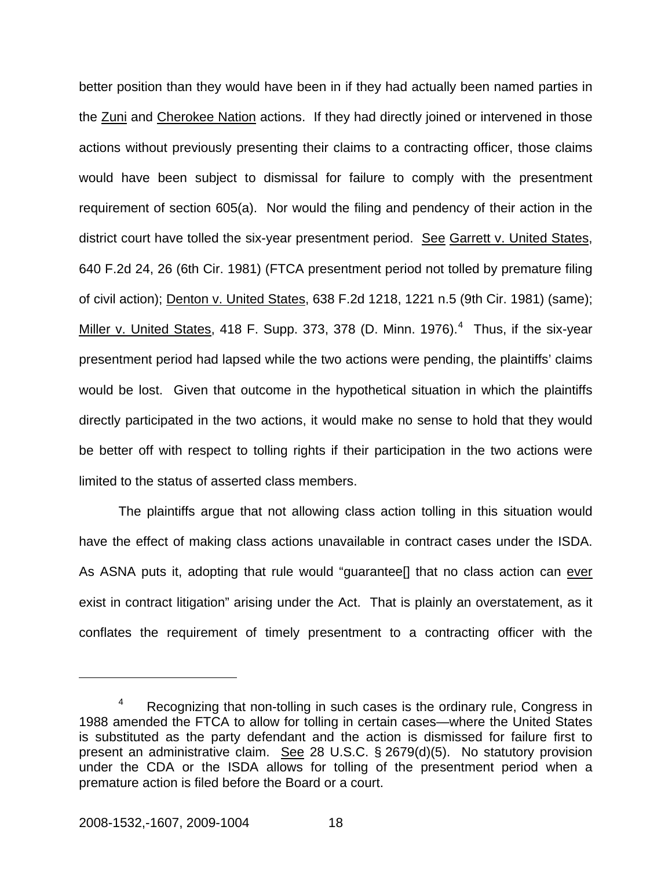better position than they would have been in if they had actually been named parties in the Zuni and Cherokee Nation actions. If they had directly joined or intervened in those actions without previously presenting their claims to a contracting officer, those claims would have been subject to dismissal for failure to comply with the presentment requirement of section 605(a). Nor would the filing and pendency of their action in the district court have tolled the six-year presentment period. See Garrett v. United States, 640 F.2d 24, 26 (6th Cir. 1981) (FTCA presentment period not tolled by premature filing of civil action); Denton v. United States, 638 F.2d 1218, 1221 n.5 (9th Cir. 1981) (same); Miller v. United States, [4](#page-19-0)18 F. Supp. 373, 378 (D. Minn. 1976). $4$  Thus, if the six-year presentment period had lapsed while the two actions were pending, the plaintiffs' claims would be lost. Given that outcome in the hypothetical situation in which the plaintiffs directly participated in the two actions, it would make no sense to hold that they would be better off with respect to tolling rights if their participation in the two actions were limited to the status of asserted class members.

The plaintiffs argue that not allowing class action tolling in this situation would have the effect of making class actions unavailable in contract cases under the ISDA. As ASNA puts it, adopting that rule would "guarantee<sup>[]</sup> that no class action can ever exist in contract litigation" arising under the Act. That is plainly an overstatement, as it conflates the requirement of timely presentment to a contracting officer with the

1

<span id="page-19-0"></span><sup>4</sup> Recognizing that non-tolling in such cases is the ordinary rule, Congress in 1988 amended the FTCA to allow for tolling in certain cases—where the United States is substituted as the party defendant and the action is dismissed for failure first to present an administrative claim. See 28 U.S.C. § 2679(d)(5). No statutory provision under the CDA or the ISDA allows for tolling of the presentment period when a premature action is filed before the Board or a court.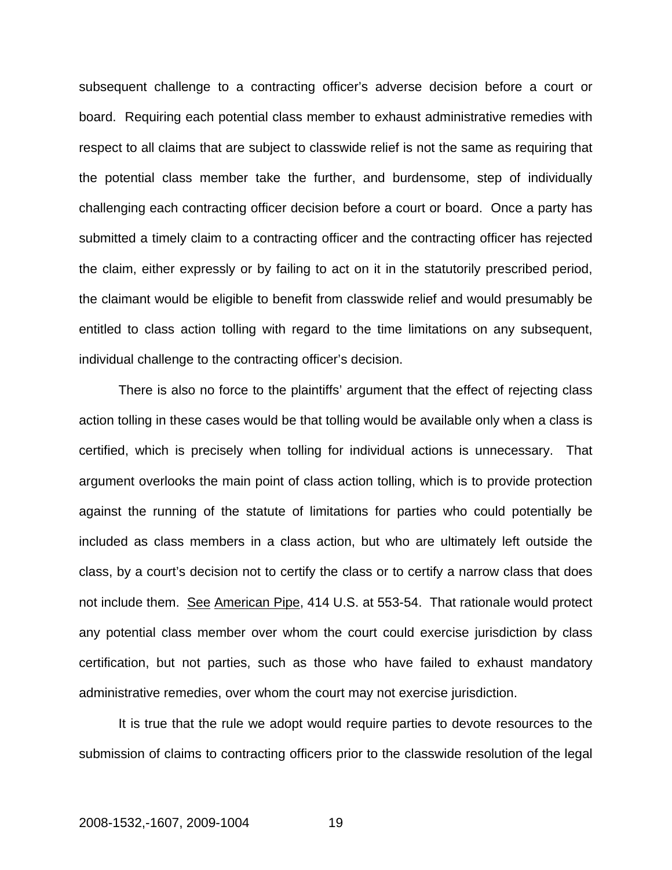subsequent challenge to a contracting officer's adverse decision before a court or board. Requiring each potential class member to exhaust administrative remedies with respect to all claims that are subject to classwide relief is not the same as requiring that the potential class member take the further, and burdensome, step of individually challenging each contracting officer decision before a court or board. Once a party has submitted a timely claim to a contracting officer and the contracting officer has rejected the claim, either expressly or by failing to act on it in the statutorily prescribed period, the claimant would be eligible to benefit from classwide relief and would presumably be entitled to class action tolling with regard to the time limitations on any subsequent, individual challenge to the contracting officer's decision.

There is also no force to the plaintiffs' argument that the effect of rejecting class action tolling in these cases would be that tolling would be available only when a class is certified, which is precisely when tolling for individual actions is unnecessary. That argument overlooks the main point of class action tolling, which is to provide protection against the running of the statute of limitations for parties who could potentially be included as class members in a class action, but who are ultimately left outside the class, by a court's decision not to certify the class or to certify a narrow class that does not include them. See American Pipe, 414 U.S. at 553-54. That rationale would protect any potential class member over whom the court could exercise jurisdiction by class certification, but not parties, such as those who have failed to exhaust mandatory administrative remedies, over whom the court may not exercise jurisdiction.

It is true that the rule we adopt would require parties to devote resources to the submission of claims to contracting officers prior to the classwide resolution of the legal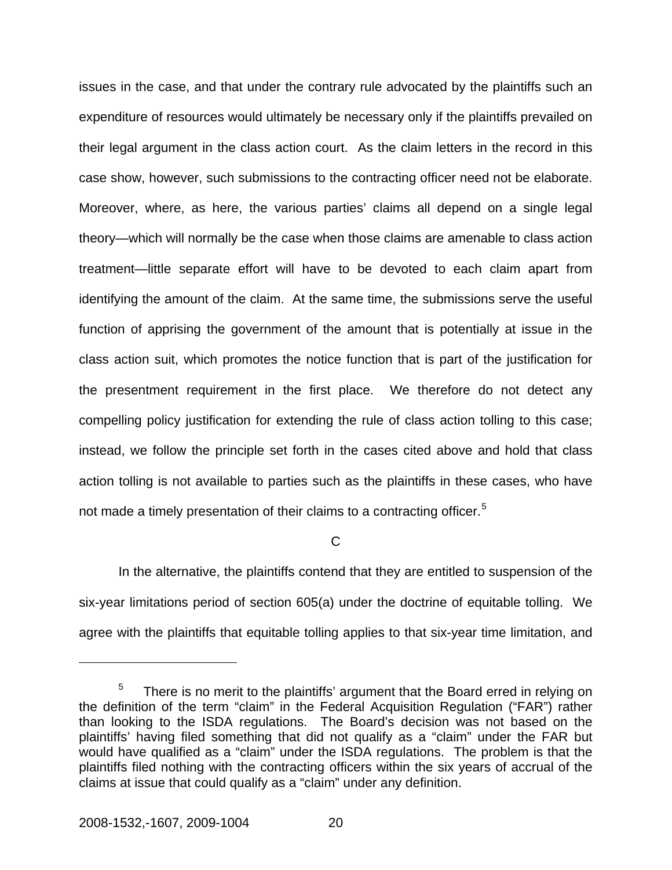issues in the case, and that under the contrary rule advocated by the plaintiffs such an expenditure of resources would ultimately be necessary only if the plaintiffs prevailed on their legal argument in the class action court. As the claim letters in the record in this case show, however, such submissions to the contracting officer need not be elaborate. Moreover, where, as here, the various parties' claims all depend on a single legal theory—which will normally be the case when those claims are amenable to class action treatment—little separate effort will have to be devoted to each claim apart from identifying the amount of the claim. At the same time, the submissions serve the useful function of apprising the government of the amount that is potentially at issue in the class action suit, which promotes the notice function that is part of the justification for the presentment requirement in the first place. We therefore do not detect any compelling policy justification for extending the rule of class action tolling to this case; instead, we follow the principle set forth in the cases cited above and hold that class action tolling is not available to parties such as the plaintiffs in these cases, who have not made a timely presentation of their claims to a contracting officer.<sup>[5](#page-21-0)</sup>

 $\mathcal{C}$ 

In the alternative, the plaintiffs contend that they are entitled to suspension of the six-year limitations period of section 605(a) under the doctrine of equitable tolling. We agree with the plaintiffs that equitable tolling applies to that six-year time limitation, and

<span id="page-21-0"></span><sup>5</sup> There is no merit to the plaintiffs' argument that the Board erred in relying on the definition of the term "claim" in the Federal Acquisition Regulation ("FAR") rather than looking to the ISDA regulations. The Board's decision was not based on the plaintiffs' having filed something that did not qualify as a "claim" under the FAR but would have qualified as a "claim" under the ISDA regulations. The problem is that the plaintiffs filed nothing with the contracting officers within the six years of accrual of the claims at issue that could qualify as a "claim" under any definition.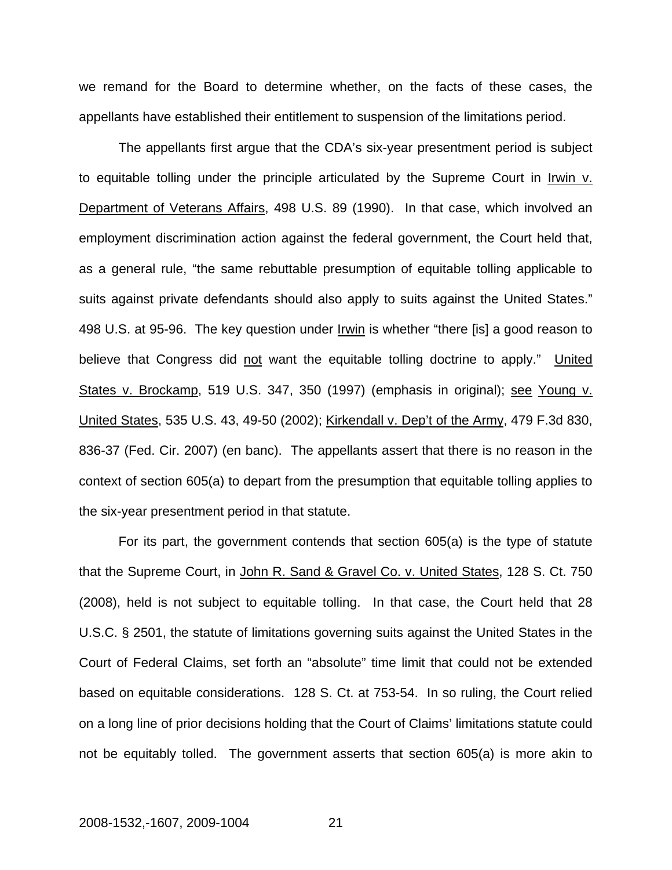we remand for the Board to determine whether, on the facts of these cases, the appellants have established their entitlement to suspension of the limitations period.

 The appellants first argue that the CDA's six-year presentment period is subject to equitable tolling under the principle articulated by the Supreme Court in Irwin v. Department of Veterans Affairs, 498 U.S. 89 (1990). In that case, which involved an employment discrimination action against the federal government, the Court held that, as a general rule, "the same rebuttable presumption of equitable tolling applicable to suits against private defendants should also apply to suits against the United States." 498 U.S. at 95-96. The key question under Irwin is whether "there [is] a good reason to believe that Congress did not want the equitable tolling doctrine to apply." United States v. Brockamp, 519 U.S. 347, 350 (1997) (emphasis in original); see Young v. United States, 535 U.S. 43, 49-50 (2002); Kirkendall v. Dep't of the Army, 479 F.3d 830, 836-37 (Fed. Cir. 2007) (en banc). The appellants assert that there is no reason in the context of section 605(a) to depart from the presumption that equitable tolling applies to the six-year presentment period in that statute.

 For its part, the government contends that section 605(a) is the type of statute that the Supreme Court, in John R. Sand & Gravel Co. v. United States, 128 S. Ct. 750 (2008), held is not subject to equitable tolling. In that case, the Court held that 28 U.S.C. § 2501, the statute of limitations governing suits against the United States in the Court of Federal Claims, set forth an "absolute" time limit that could not be extended based on equitable considerations. 128 S. Ct. at 753-54. In so ruling, the Court relied on a long line of prior decisions holding that the Court of Claims' limitations statute could not be equitably tolled. The government asserts that section 605(a) is more akin to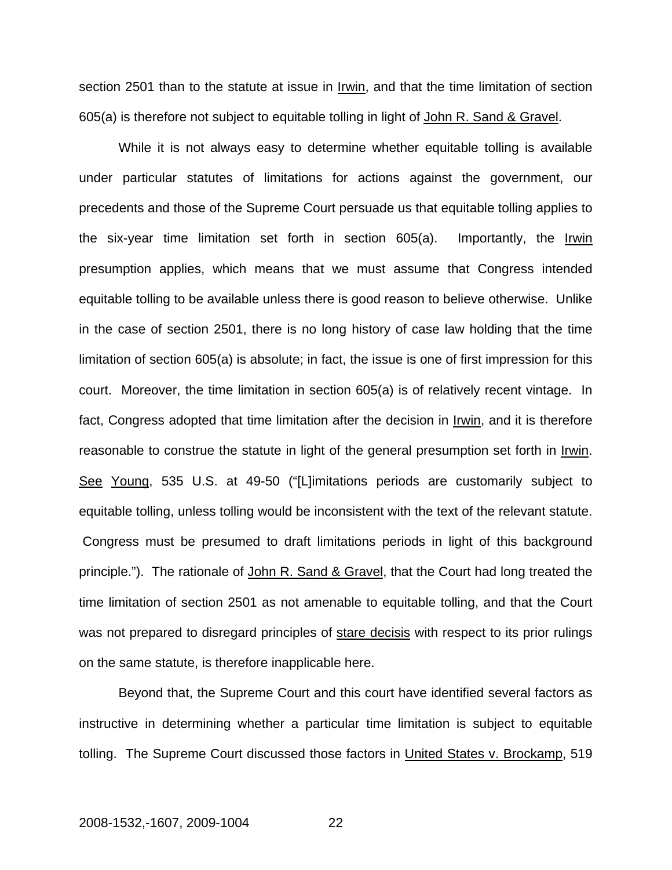section 2501 than to the statute at issue in Irwin, and that the time limitation of section 605(a) is therefore not subject to equitable tolling in light of John R. Sand & Gravel.

 While it is not always easy to determine whether equitable tolling is available under particular statutes of limitations for actions against the government, our precedents and those of the Supreme Court persuade us that equitable tolling applies to the six-year time limitation set forth in section 605(a). Importantly, the Irwin presumption applies, which means that we must assume that Congress intended equitable tolling to be available unless there is good reason to believe otherwise. Unlike in the case of section 2501, there is no long history of case law holding that the time limitation of section 605(a) is absolute; in fact, the issue is one of first impression for this court. Moreover, the time limitation in section 605(a) is of relatively recent vintage. In fact, Congress adopted that time limitation after the decision in Irwin, and it is therefore reasonable to construe the statute in light of the general presumption set forth in Irwin. See Young, 535 U.S. at 49-50 ("[L]imitations periods are customarily subject to equitable tolling, unless tolling would be inconsistent with the text of the relevant statute. Congress must be presumed to draft limitations periods in light of this background principle."). The rationale of John R. Sand & Gravel, that the Court had long treated the time limitation of section 2501 as not amenable to equitable tolling, and that the Court was not prepared to disregard principles of stare decisis with respect to its prior rulings on the same statute, is therefore inapplicable here.

 Beyond that, the Supreme Court and this court have identified several factors as instructive in determining whether a particular time limitation is subject to equitable tolling. The Supreme Court discussed those factors in United States v. Brockamp, 519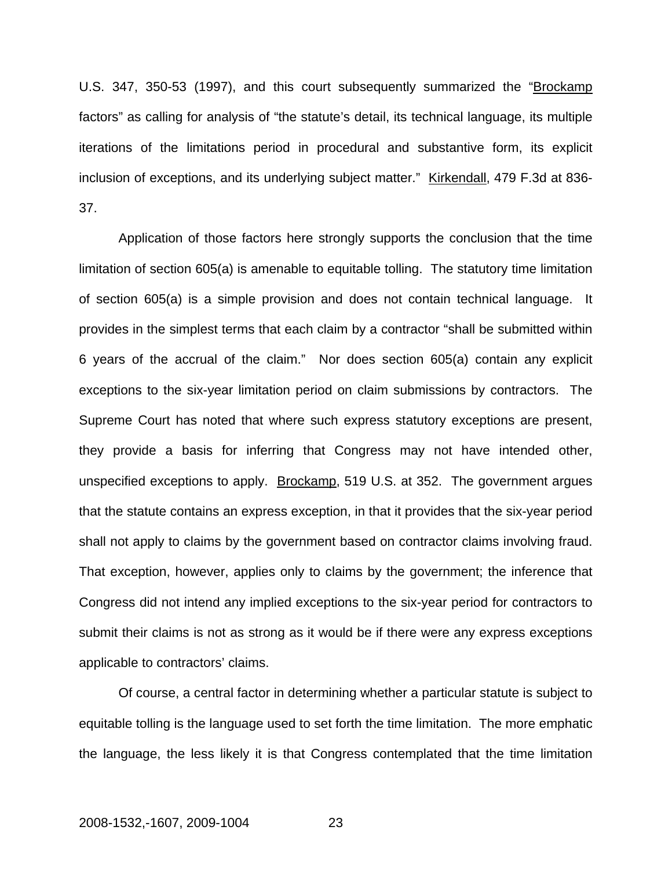U.S. 347, 350-53 (1997), and this court subsequently summarized the "Brockamp factors" as calling for analysis of "the statute's detail, its technical language, its multiple iterations of the limitations period in procedural and substantive form, its explicit inclusion of exceptions, and its underlying subject matter." Kirkendall, 479 F.3d at 836- 37.

 Application of those factors here strongly supports the conclusion that the time limitation of section 605(a) is amenable to equitable tolling. The statutory time limitation of section 605(a) is a simple provision and does not contain technical language. It provides in the simplest terms that each claim by a contractor "shall be submitted within 6 years of the accrual of the claim." Nor does section 605(a) contain any explicit exceptions to the six-year limitation period on claim submissions by contractors. The Supreme Court has noted that where such express statutory exceptions are present, they provide a basis for inferring that Congress may not have intended other, unspecified exceptions to apply. Brockamp, 519 U.S. at 352. The government argues that the statute contains an express exception, in that it provides that the six-year period shall not apply to claims by the government based on contractor claims involving fraud. That exception, however, applies only to claims by the government; the inference that Congress did not intend any implied exceptions to the six-year period for contractors to submit their claims is not as strong as it would be if there were any express exceptions applicable to contractors' claims.

 Of course, a central factor in determining whether a particular statute is subject to equitable tolling is the language used to set forth the time limitation. The more emphatic the language, the less likely it is that Congress contemplated that the time limitation